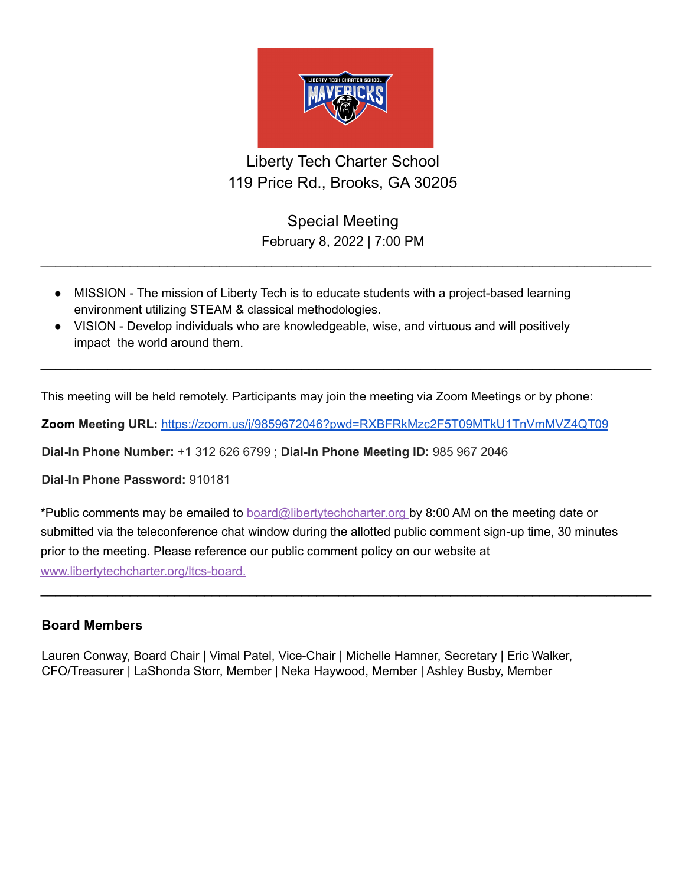

## Liberty Tech Charter School 119 Price Rd., Brooks, GA 30205

Special Meeting February 8, 2022 | 7:00 PM

 $\_$ 

 $\_$ 

- MISSION The mission of Liberty Tech is to educate students with a project-based learning environment utilizing STEAM & classical methodologies.
- VISION Develop individuals who are knowledgeable, wise, and virtuous and will positively impact the world around them.

This meeting will be held remotely. Participants may join the meeting via Zoom Meetings or by phone:

**Zoom Meeting URL:** <https://zoom.us/j/9859672046?pwd=RXBFRkMzc2F5T09MTkU1TnVmMVZ4QT09>

**Dial-In Phone Number:** +1 312 626 6799 ; **Dial-In Phone Meeting ID:** 985 967 2046

**Dial-In Phone Password:** 910181

\*Public comments may be emailed to board@libertytechcharter.org by 8:00 AM on the meeting date or submitted via the teleconference chat window during the allotted public comment sign-up time, 30 minutes prior to the meeting. Please reference our public comment policy on our website at www.libertytechcharter.org/ltcs-board.

 $\_$ 

## **Board Members**

Lauren Conway, Board Chair | Vimal Patel, Vice-Chair | Michelle Hamner, Secretary | Eric Walker, CFO/Treasurer | LaShonda Storr, Member | Neka Haywood, Member | Ashley Busby, Member